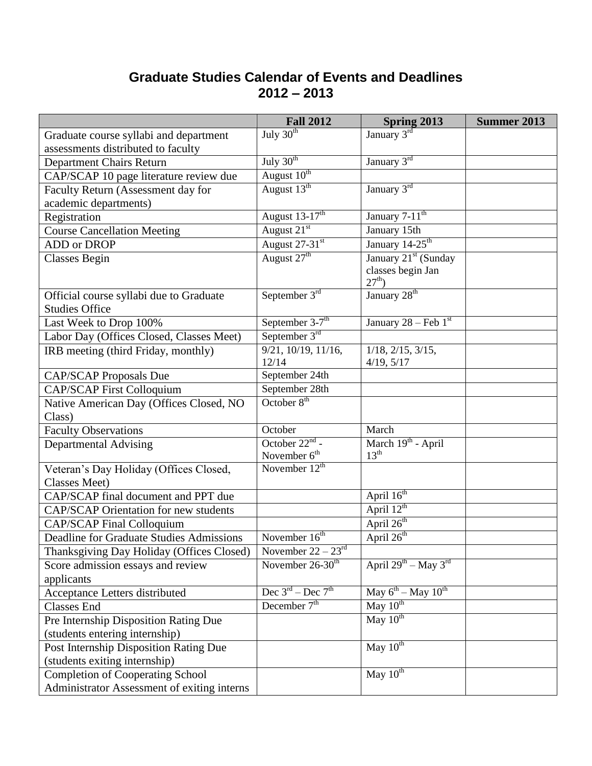## **Graduate Studies Calendar of Events and Deadlines 2012 – 2013**

|                                                   | <b>Fall 2012</b>                          | Spring 2013                            | <b>Summer 2013</b> |
|---------------------------------------------------|-------------------------------------------|----------------------------------------|--------------------|
| Graduate course syllabi and department            | July $30th$                               | January 3rd                            |                    |
| assessments distributed to faculty                |                                           |                                        |                    |
| <b>Department Chairs Return</b>                   | July $30th$                               | January 3rd                            |                    |
| CAP/SCAP 10 page literature review due            | August 10 <sup>th</sup>                   |                                        |                    |
| Faculty Return (Assessment day for                | August $13^{\text{th}}$                   | January 3rd                            |                    |
| academic departments)                             |                                           |                                        |                    |
| Registration                                      | August 13-17 <sup>th</sup>                | January 7-11 <sup>th</sup>             |                    |
| <b>Course Cancellation Meeting</b>                | August 21 <sup>st</sup>                   | January 15th                           |                    |
| <b>ADD</b> or DROP                                | August 27-31st                            | January 14-25 <sup>th</sup>            |                    |
| <b>Classes Begin</b>                              | August 27 <sup>th</sup>                   | January 21 <sup>st</sup> (Sunday       |                    |
|                                                   |                                           | classes begin Jan<br>$27^{th}$ )       |                    |
| Official course syllabi due to Graduate           | September $3rd$                           | January 28 <sup>th</sup>               |                    |
| <b>Studies Office</b>                             |                                           |                                        |                    |
| Last Week to Drop 100%                            | September $3-7$ <sup>th</sup>             | January 28 – Feb $1st$                 |                    |
| Labor Day (Offices Closed, Classes Meet)          | September $3rd$                           |                                        |                    |
| IRB meeting (third Friday, monthly)               | $\overline{9/21}$ , 10/19, 11/16,         | $1/18$ , $2/15$ , $3/15$ ,             |                    |
|                                                   | 12/14<br>September 24th                   | 4/19, 5/17                             |                    |
| <b>CAP/SCAP Proposals Due</b>                     | September 28th                            |                                        |                    |
| <b>CAP/SCAP First Colloquium</b>                  | October 8 <sup>th</sup>                   |                                        |                    |
| Native American Day (Offices Closed, NO<br>Class) |                                           |                                        |                    |
| <b>Faculty Observations</b>                       | October                                   | March                                  |                    |
| <b>Departmental Advising</b>                      | October 22 <sup>nd</sup> -                | March 19 <sup>th</sup> - April         |                    |
|                                                   | November 6 <sup>th</sup>                  | 13 <sup>th</sup>                       |                    |
| Veteran's Day Holiday (Offices Closed,            | November $12th$                           |                                        |                    |
| <b>Classes Meet</b> )                             |                                           |                                        |                    |
| CAP/SCAP final document and PPT due               |                                           | April 16 <sup>th</sup>                 |                    |
| <b>CAP/SCAP Orientation for new students</b>      |                                           | April $12^{th}$                        |                    |
| <b>CAP/SCAP Final Colloquium</b>                  |                                           | April 26 <sup>th</sup>                 |                    |
| Deadline for Graduate Studies Admissions          | November $16th$                           | April 26 <sup>th</sup>                 |                    |
| Thanksgiving Day Holiday (Offices Closed)         | November $22 - 23rd$                      |                                        |                    |
| Score admission essays and review                 | November 26-30 <sup>th</sup>              | April $29^{th}$ – May $3^{rd}$         |                    |
| applicants                                        |                                           |                                        |                    |
| Acceptance Letters distributed                    | Dec $3^{\text{rd}}$ – Dec $7^{\text{th}}$ | May $6^{th}$ – May $10^{th}$           |                    |
| <b>Classes End</b>                                | December $7th$                            | $\overline{\text{May }10^{\text{th}}}$ |                    |
| Pre Internship Disposition Rating Due             |                                           | May $10^{th}$                          |                    |
| (students entering internship)                    |                                           |                                        |                    |
| Post Internship Disposition Rating Due            |                                           | May $10^{th}$                          |                    |
| (students exiting internship)                     |                                           |                                        |                    |
| <b>Completion of Cooperating School</b>           |                                           | May $10^{th}$                          |                    |
| Administrator Assessment of exiting interns       |                                           |                                        |                    |